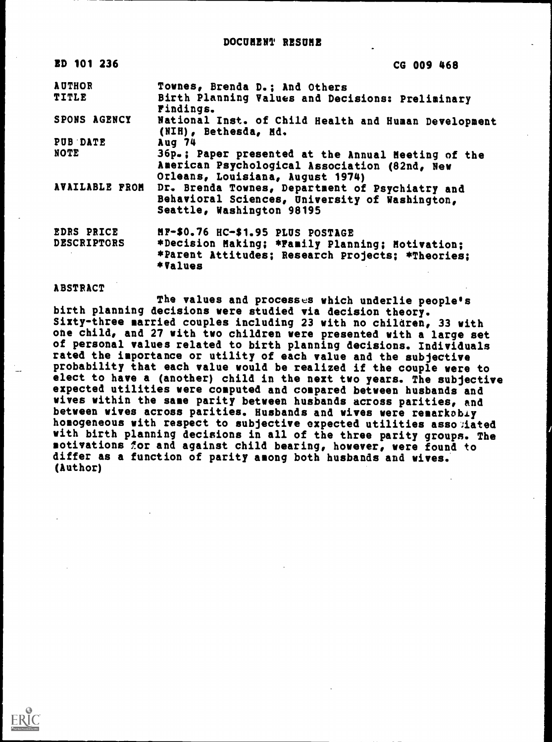DOCUMENT RESUME

| ED 101 236                              | CG 009 468                                                                                                                              |
|-----------------------------------------|-----------------------------------------------------------------------------------------------------------------------------------------|
| <b>AUTHOR</b>                           | Townes, Brenda D.; And Others                                                                                                           |
| <b>TITLE</b>                            | Birth Planning Values and Decisions: Preliminary<br>Findings.                                                                           |
| SPONS AGENCY                            | National Inst. of Child Health and Human Development<br>(NIH), Bethesda, Md.                                                            |
| PUB DATE                                | Aug 74                                                                                                                                  |
| <b>NOTE</b>                             | 36p.; Paper presented at the Annual Heeting of the<br>American Psychological Association (82nd, New<br>Orleans, Louisiana, August 1974) |
| AVAILABLE FROM                          | Dr. Brenda Townes, Department of Psychiatry and<br>Behavioral Sciences, University of Washington,<br>Seattle, Washington 98195          |
| <b>EDRS PRICE</b><br><b>DESCRIPTORS</b> | MF-\$0.76 HC-\$1.95 PLUS POSTAGE<br>*Decision Making; *Family Planning; Motivation;<br>*Parent Attitudes; Research Projects; *Theories; |

#### ABSTRACT

\*Values

The values and processes which underlie people's birth planning decisions were studied via decision theory. Sixty-three married couples including 23 with no children, 33 with one child, and 27 with two children were presented with a large set of personal values related to birth planning decisions. Individuals rated the importance or utility of each value and the subjective probability that each value would be realized if the couple were to elect to have a (another) child in the next two years. The subjective expected utilities were computed and compared between husbands and wives within the same parity between husbands across parities, and between wives across parities. Husbands and wives were remarkably homogeneous with respect to subjective expected utilities asso lated with birth planning decisions in all of the three parity groups. The motivations for and against child bearing, however, were found to differ as a function of parity among both husbands and wives. (Author)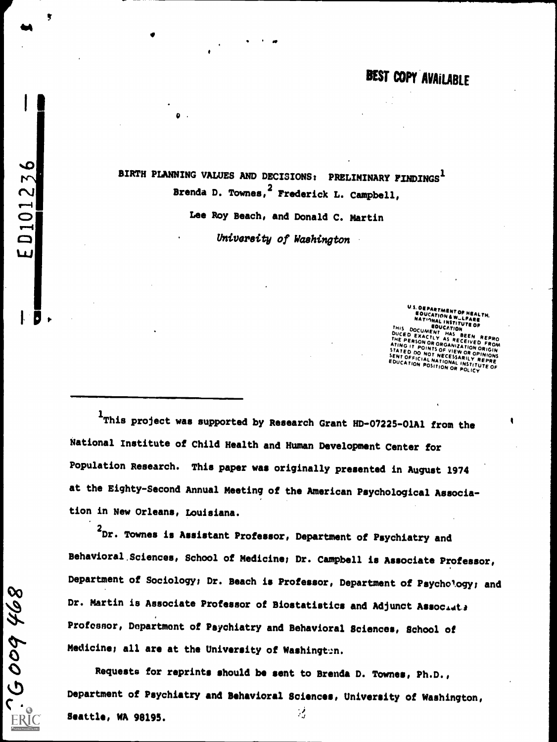BIRTH PLANNING VALUES AND DECISIONS: PRELIMINARY FINDINGS<sup>1</sup><br>Drenda D. Townes, <sup>2</sup> Frederick L. Campbell,

 $\bullet$  . The set of  $\bullet$ 

 $\Box$  .

9936009

ERI<sup>C</sup>

 $\overline{1}$ 

Lee Roy Beach, and Donald C. Martin University of Washington

OEPARTMENT OF HEALTH. EDUCATION OF HEALTH, INSTITUTE OF THIS DOCUMENT OF HEALTH, INSTITUTE OF THIS DOCUMENT OF THE SALTH, INSTITUTE OF THIS DOCUMENT OF THE SALTH, INSTITUTE OF THIS DOCUMENT OF THIS DOCUMENT OF THIS DOCUMENT OF THIS DOCUMENT OF .<br>DUCE D EXACTLY AS RECEIVED EXACTLY AS RECEIVED EXACTLY AS RECEIVED FROM THAS BEEN REPRO<br>THE PERSON OR AS RECEIVED FROM THE PERSON OR AS RECEIVED FROM FROM ATING IT POINTS OF VIEW OR OPINION ORIGIN<br>STATED DO NOT NECESSARILY REPRE<br>SENT OFFICIAL NATIONAL INSTITUTE OF<br>EDUCATION POSITION OR POLICY<br>CONTION POSITION OR POLICY

1This project was supported by Research Grant HD-07225-01A1 from the National Institute of Child Health and Human Development Center for Population Research. This paper was originally presented in August 1974 at the Eighty-Second Annual Meeting of the American Psychological Association in New Orleans, Louisiana.

<sup>2</sup>Dr. Townes is Assistant Professor, Department of Psychiatry and Behavioral,Sciences, School of Medicine; Dr. Campbell is Associate Professor, Department of Sociology; Dr. Beach is Professor, Department of Psychol.ogy; and Dr. Martin is Associate Professor of Biostatistics and Adjunct Associate Professor, Department of Psychiatry and Behavioral Sciences, School of Medicine; all are at the University of Washington.

Requests for reprints should be sent to Brenda D. Townes, Ph.D., Department of Psychiatry and Behavioral Sciences, University of Washington,  $:$  Seattle, WA 98195.  $\frac{1}{4}$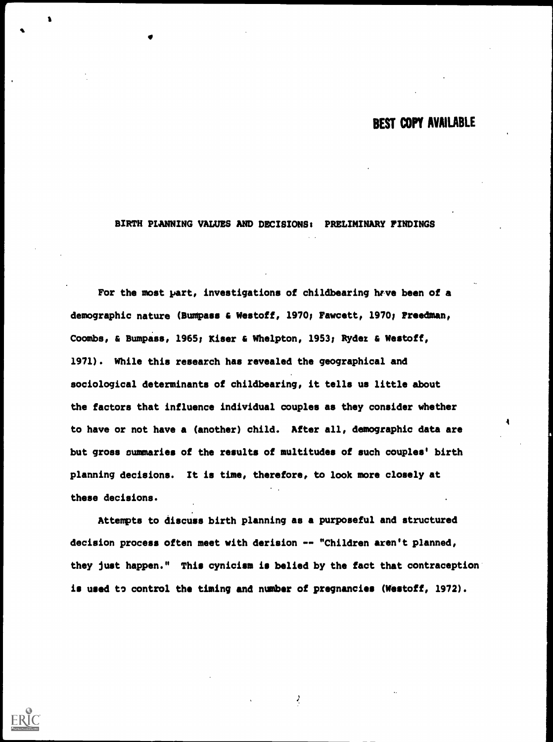4

BIRTH PLANNING VALUES AND DECISIONS; PRELIMINARY FINDINGS

For the most part, investigations of childbearing have been of a demographic nature (Bumpass & Westoff, 1970; Fawcett, 1970; Freedman, Coombs, & Bumpass, 1965; Kiser & Whelpton, 1953; Ryder & Westoff, 1971). While this research has revealed the geographical and sociological determinants of childbearing, it tells us little about the factors that influence individual couples as they consider whether to have or not have a (another) child. After all, demographic data are but gross summaries of the results of multitudes of such couples' birth planning decisions. It is time, therefore, to look more closely at these decisions.

Attempts to discuss birth planning as a purposeful and structured decision process often meet with derision -- "Children aren't planned, they just happen." This cynicism is belied by the fact that contraception is used to control the timing and number of pregnancies (Westoff, 1972).

 $\frac{1}{2}$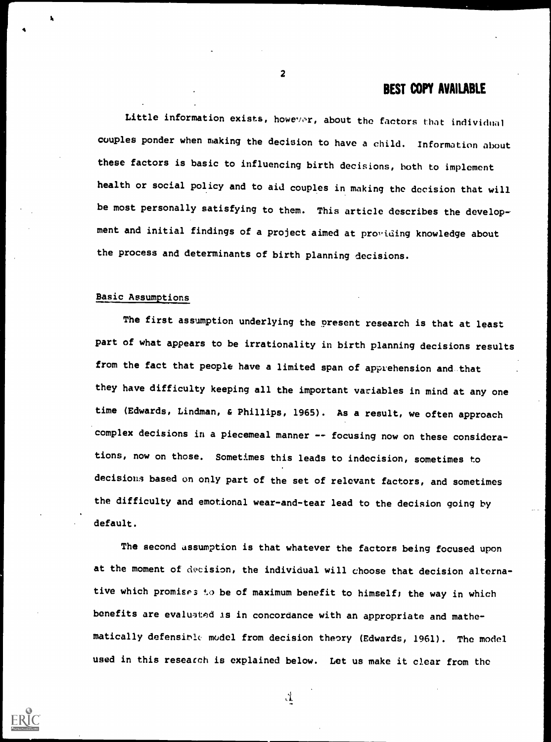Little information exists, however, about the factors that individual couples ponder when making the decision to have a child. Information about these factors is basic to influencing birth decisions, both to implement health or social policy and to aid couples in making the decision that will be most personally satisfying to them. This article describes the development and initial findings of a project aimed at providing knowledge about the process and determinants of birth planning decisions.

#### Basic Assumptions

The first assumption underlying the present research is that at least part of what appears to be irrationality in birth planning decisions results from the fact that people have a limited span of apprehension and that they have difficulty keeping all the important variables in mind at any one time (Edwards, Lindman, & Phillips, 1965). As a result, we often approach complex decisions in a piecemeal manner -- focusing now on these considerations, now on those. Sometimes this leads to indecision, sometimes to decisions based on only part of the set of relevant factors, and sometimes the difficulty and emotional wear-and-tear lead to the decision going by default.

The second assumption is that whatever the factors being focused upon at the moment of decision, the individual will choose that decision alternative which promises to be of maximum benefit to himself; the way in which benefits are evaluated is in concordance with an appropriate and mathematically defensinle model from decision theory (Edwards, 1961). The model used in this research is explained below. Let us make it clear from the

2

 $\Lambda$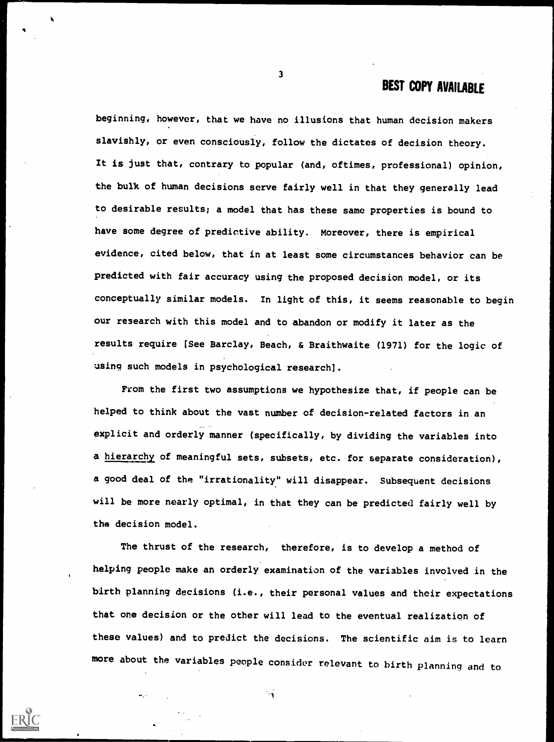beginning, however, that we have no illusions that human decision makers slavishly, or even consciously, follow the dictates of decision theory. It is just that, contrary to popular (and, oftimes, professional) opinion, the bulk of human decisions serve fairly well in that they generally lead to desirable results; a model that has these same properties is bound to have some degree of predictive ability. Moreover, there is empirical evidence, cited below, that in at least some circumstances behavior can be predicted with fair accuracy using the proposed decision model, or its conceptually similar models. In light of this, it seems reasonable to begin our research with this model and to abandon or modify it later as the results require [See Barclay, Beach, & Braithwaite (1971) for the logic of using such models in psychological research].

From the first two assumptions we hypothesize that, if people can be helped to think about the vast number of decision-related factors in an explicit and orderly manner (specifically, by dividing the variables into a hierarchy of meaningful sets, subsets, etc. for separate consideration), a good deal of the "irrationality" will disappear. Subsequent decisions will be more nearly optimal, in that they can be predicted fairly well by the decision model.

The thrust of the research, therefore, is to develop a method of helping people make an orderly examination of the variables involved in the birth planning decisions (i.e., their personal values and their expectations that one decision or the other will lead to the eventual realization of these values) and to predict the decisions. The scientific aim is to learn more about the variables people consider relevant to birth planning and to

 $\overline{\mathbf{3}}$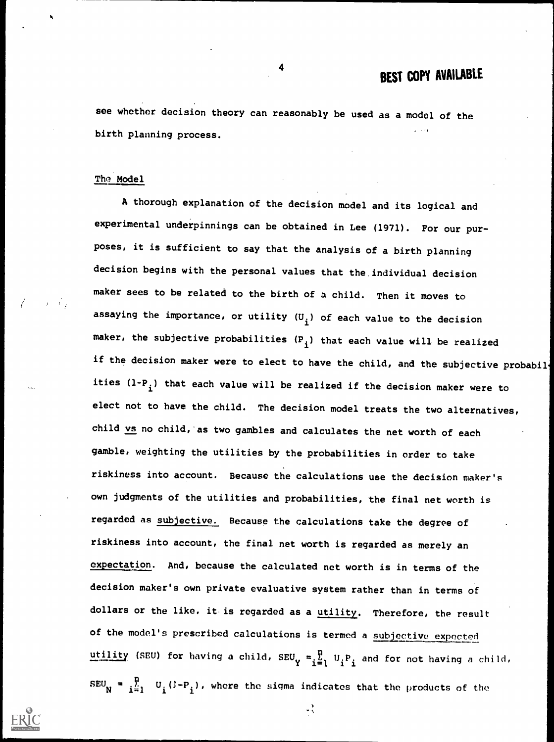see whether decision theory can reasonably be used as a model of the birth planning process.

### The Model

A thorough explanation of the decision model and its logical and experimental underpinnings can be obtained in Lee (1971). For our purposes, it is sufficient to say that the analysis of a birth planning decision begins with the personal values that the individual decision maker sees to be related to the birth of a child. Then it moves to assaying the importance, or utility  $(U_{\textbf{i}})$  of each value to the decision maker, the subjective probabilities  $(P_i)$  that each value will be realized if the decision maker were to elect to have the child, and the subjective probabil ities  $(1-P_i)$  that each value will be realized if the decision maker were to elect not to have the child. The decision model treats the two alternatives, child vs no child, as two gambles and calculates the net worth of each gamble, weighting the utilities by the probabilities in order to take riskiness into account. Because the calculations use the decision maker's own judgments of the utilities and probabilities, the final net worth is regarded as subjective. Because the calculations take the degree of riskiness into account, the final net worth is regarded as merely an expectation. And, because the calculated net worth is in terms of the decision maker's own private evaluative system rather than in terms of dollars or the like, it is regarded as a utility. Therefore, the result of the model's prescribed calculations is termed a subjective expected utility (SEU) for having a child, SEU<sub>Y</sub> =  $\frac{p}{i-1}$  U<sub>i</sub>P<sub>i</sub> and for not having a child,  $\texttt{SEU}_\textsf{N}$  =  $\texttt{i}$   $\texttt{i}$   $\texttt{U}_\textsf{i}$   $\texttt{(I-P}_\textsf{i})$ , where the sigma indicates that the products of the

 $\mathbf{v}$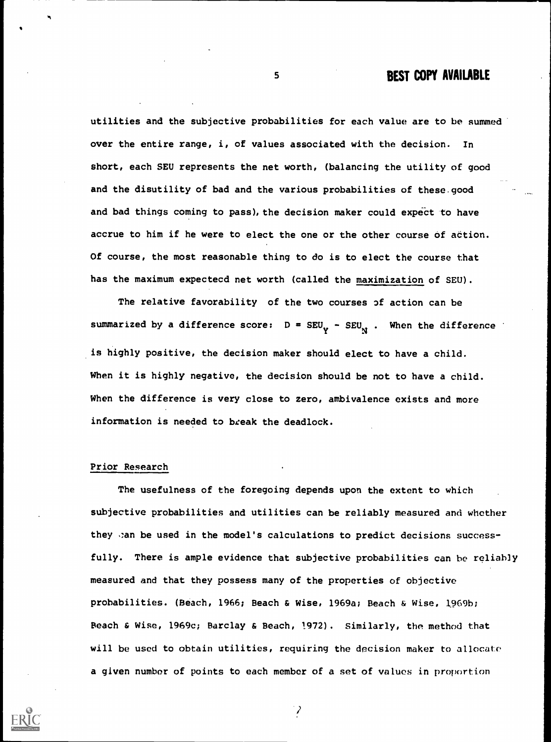utilities and the subjective probabilities for each value are to be summed over the entire range, i, of values associated with the decision. In short, each SEU represents the net worth, (balancing the utility of good and the disutility of bad and the various probabilities of these.good and bad things coming to pass), the decision maker could expect to have accrue to him if he were to elect the one or the other course of action. Of course, the most reasonable thing to do is to elect the course that has the maximum expectecd net worth (called the maximization of SEU).

The relative favorability of the two courses 3f action can be summarized by a difference score:  $D = SEU_V - SEU_{N}$ . When the difference is highly positive, the decision maker should elect to have a child. When it is highly negative, the decision should be not to have a child. When the difference is very close to zero, ambivalence exists and more information is needed to break the deadlock.

#### Prior Research

ti se na

The usefulness of the foregoing depends upon the extent to which subjective probabilities and utilities can be reliably measured and whether they can be used in the model's calculations to predict decisions successfully. There is ample evidence that subjective probabilities can be reliably measured and that they possess many of the properties of objective probabilities. (Beach, 1966; Beach & Wise, 1969a; Beach & Wise, 1969b; Beach & Wise, 1969c; Barclay & Beach, 1972). Similarly, the method that will be used to obtain utilities, requiring the decision maker to allocate a given number of points to each member of a set of values in proportion

λ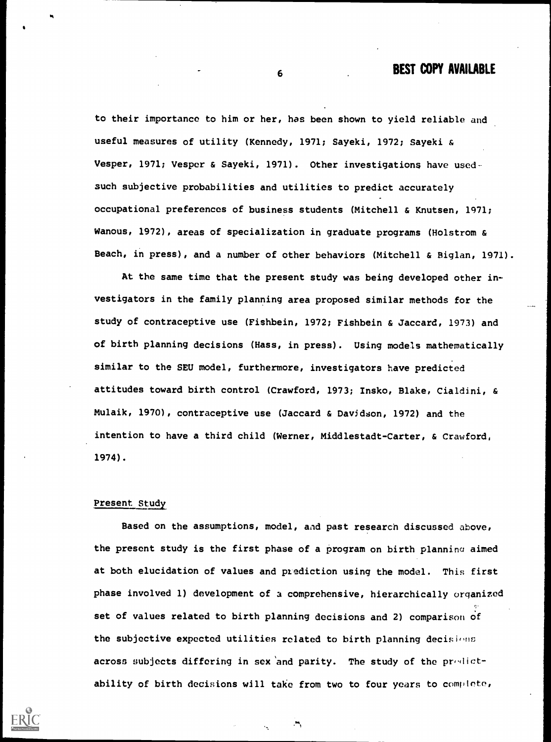to their importance to him or her, has been shown to yield reliable and useful measures of utility (Kennedy, 1971; Sayeki, 1972; Sayeki & Vesper, 1971; Vesper & Sayeki, 1971). Other investigations have usedsuch subjective probabilities and utilities to predict accurately occupational preferences of business students (Mitchell & Knutsen, 1971; Wanous, 1972), areas of specialization in graduate programs (Holstrom & Beach, in press), and a number of other behaviors (Mitchell & Biglan, 1971).

At the same time that the present study was being developed other investigators in the family planning area proposed similar methods for the study of contraceptive use (Fishbein, 1972; Fishbein & Jaccard, 1973) and of birth planning decisions (Hass, in press). Using models mathematically similar to the SEU model, furthermore, investigators have predicted attitudes toward birth control (Crawford, 1973; Insko, Blake, Cialdini, & Mulaik, 1970), contraceptive use (Jaccard & Davidson, 1972) and the intention to have a third child (Werner, Middlestadt-Carter, & Crawford, 1974).

#### Present Study

Based on the assumptions, model, and past research discussed above, the present study is the first phase of a program on birth planning aimed at both elucidation of values and prediction using the model. This first phase involved 1) development of a comprehensive, hierarchically organized set of values related to birth planning decisions and 2) comparison of the subjective expected utilities related to birth planning decisions across subjects differing in sex and parity. The study of the predictability of birth decisions will take from two to four years to complete,

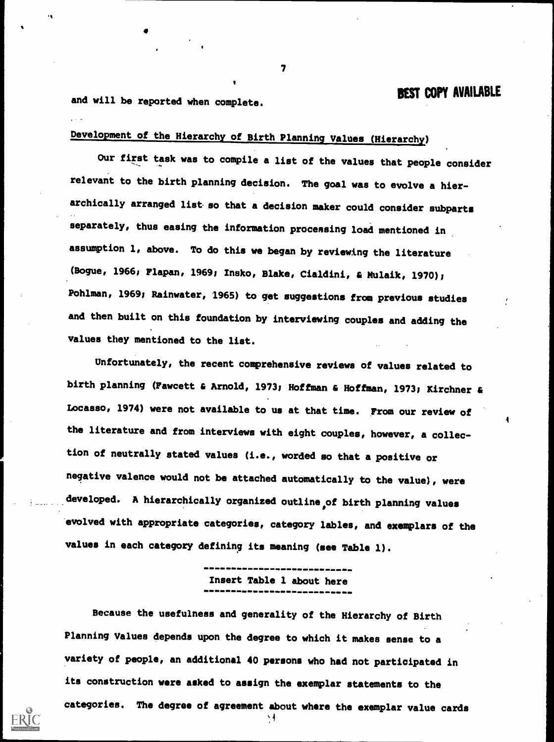and will be reported when complete.

Development of the Hierarchy of Birth Planning Values (Hierarchy)

Our first task was to compile a list of the values that people consider relevant to the birth planning decision. The goal was to evolve a hierarchically arranged list so that a decision maker could consider subparts separately, thus easing the information processing load mentioned in assumption 1, above. To do this we began by reviewing the literature (Bogue, 1966; Flapan, 1969; Inako, Blake, Cialdini, & Mulaik, 1970); Pohlman, 1969; Rainwater, 1965) to get suggestions from previous studies and then built on this foundation by interviewing couples and adding the values they mentioned to the list.

Unfortunately, the recent comprehensive reviews of values related to birth planning (Fawcett & Arnold, 1973; Hoffman & Hoffman, 1973; Kirchner Locasso, 1974) were not available to us at that time. From our review of the literature and from interviews with eight couples, however, a collection of neutrally stated values (i.e., worded so that a positive or negative valence would not be attached automatically to the value), were developed. A hierarchically organized outline of birth planning values evolved with appropriate categories, category lables, and exemplars of the values in each category defining its meaning (see Table 1).

Insert Table 1 about here

Because the usefulness and generality of the Hierarchy of Birth Planning Values depends upon the degree to which it makes sense to a variety of people, an additional 40 persons who had not participated in its construction were asked to assign the exemplar statements to the categories. The degree of agreement about where the exemplar value cards

 $\mathcal{T}$  and  $\mathcal{T}$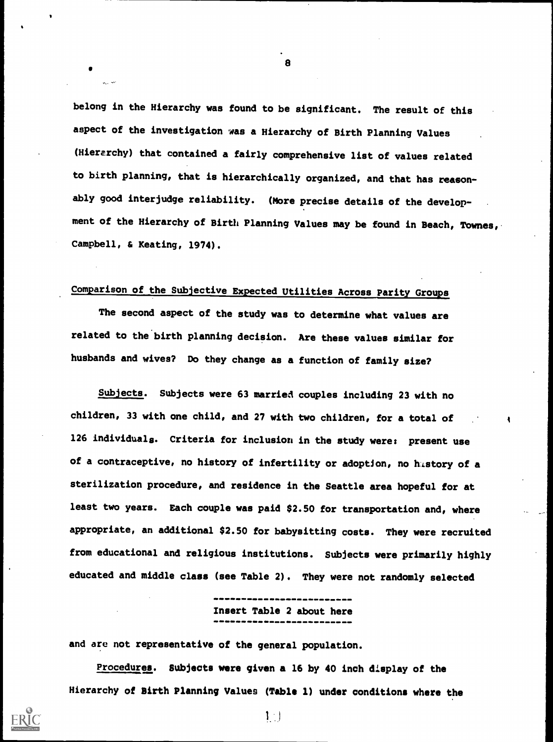belong in the Hierarchy was found to be significant. The result of this aspect of the investigation was a Hierarchy of Birth Planning Values (Hierarchy) that contained a fairly comprehensive list of values related to birth planning, that is hierarchically organized, and that has reasonably good interjudge reliability. (More precise details of the development of the Hierarchy of Birth Planning Values may be found in Beach, Townes, Campbell, & Keating, 1974).

8

## Comparison of the Subjective Expected Utilities Across Parity Groups

The second aspect of the study was to determine what values are related to the birth planning decision. Are these values similar for husbands and wives? Do they change as a function of family size?

Subjects. Subjects were 63 married couples including 23 with no children, 33 with one child, and 27 with two children, for a total of 126 individuals. Criteria for inclusion in the study were: present use of a contraceptive, no history of infertility or adoption, no history of a sterilization procedure, and residence in the Seattle area hopeful for at least two years. Each couple was paid \$2.50 for transportation and, where appropriate, an additional \$2.50 for babysitting costs. They were recruited from educational and religious institutions. Subjects were primarily highly educated and middle class (see Table 2). They were not randomly selected

Insert Table 2 about here

and are not representative of the general population.

Procedures. Subjects were given a 16 by 40 inch display of the Hierarchy of Birth Planning Values (Table 1) under conditions where the

 $1$ .  $)$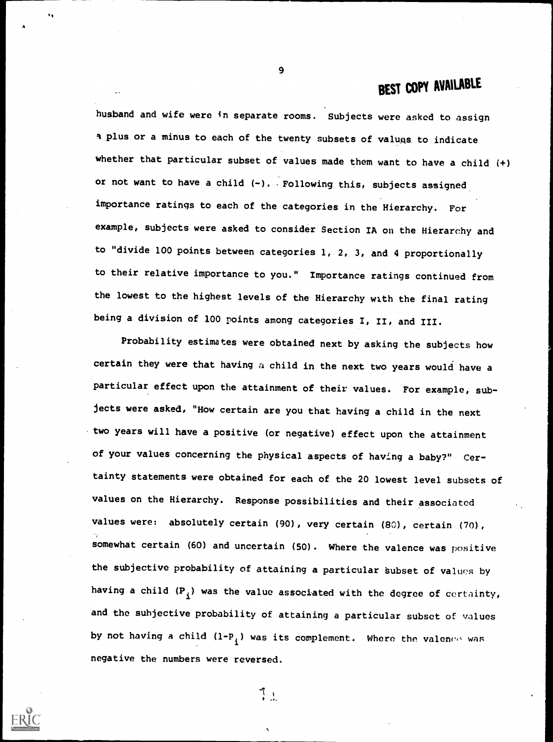husband and wife were in separate rooms. Subjects were asked to assign 1 plus or a minus to each of the twenty subsets of valugs to indicate whether that particular subset of values made them want to have a child (+) or not want to have a child  $(-)$ . Following this, subjects assigned importance ratings to each of the categories in the Hierarchy. For example, subjects were asked to consider Section IA on the Hierarchy and to "divide 100 points between categories 1, 2, 3, and 4 proportionally to their relative importance to you." Importance ratings continued from the lowest to the highest levels of the Hierarchy with the final rating being a division of 100 points among categories I, II, and III.

Probability estimates were obtained next by asking the subjects how certain they were that having  $a$  child in the next two years would have a particular effect upon the attainment of their values. For example, subjects were asked, "How certain are you that having a child in the next two years will have a positive (or negative) effect upon the attainment of your values concerning the physical aspects of having a baby?" Certainty statements were obtained for each of the 20 lowest level subsets of values on the Hierarchy. Response possibilities and their associated values were: absolutely certain (90), very certain (80), certain (70), somewhat certain (60) and uncertain (50). Where the valence was positive the subjective probability of attaining a particular subset of values by having a child  $(P_i)$  was the value associated with the degree of certainty,  $\qquad \qquad \qquad$ and the subjective probability of attaining a particular subset of values by not having a child  $(1-P_i)$  was its complement. Where the valence was negative the numbers were reversed.

9

 $\mathbf{1}$ 

 $\mathcal{I}_{\mathcal{A}}$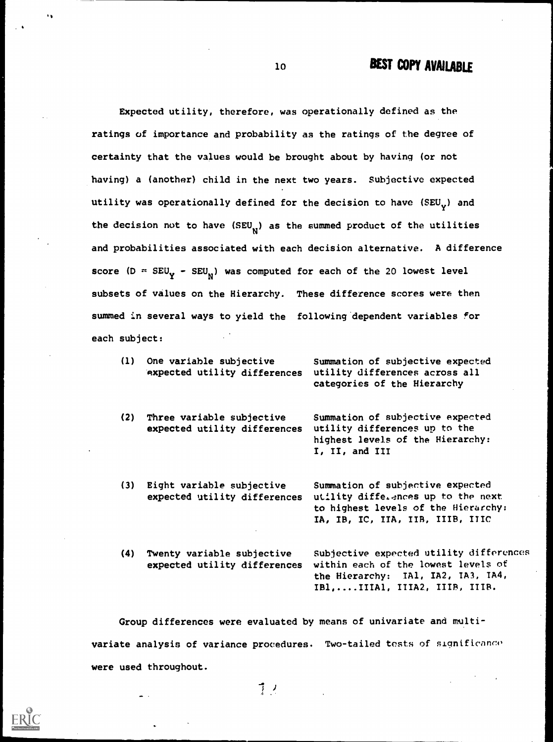Expected utility, therefore, was operationally defined as the ratings of importance and probability as the ratings of the degree of certainty that the values would be brought about by having (or not having) a (another) child in the next two years. Subjective expected utility was operationally defined for the decision to have  $(SEU_v)$  and the decision not to have (SEU<sub>N</sub>) as the summed product of the utilities and probabilities associated with each decision alternative. A difference score (D =  $\texttt{SEU}_\mathbf{Y}$  -  $\texttt{SEU}_\mathbf{N}$ ) was computed for each of the 20 lowest level subsets of values on the Hierarchy. These difference scores were then summed in several ways to yield the following dependent variables for each subject:

- (1) One variable subjective Summation of subjective expected expected utility differences utility differences across all categories of the Hierarchy (2) Three variable subjective Summation of subjective expected expected utility differences utility differences up to the highest levels of the Hierarchy: I, II, and III (3) Eight variable subjective Summation of subjective expected expected utility differences utility differences up to the next
- (4) Twenty variable subjective Subjective expected utility differences expected utility differences within each of the lowest levels of the Hierarchy: TA1, IA2, TA3, TA4, IB1,....IIIA1, ITIA2, IIIB, ITIB.

to highest levels of the Hierarchy: IA, IB, IC, IIA, IIR, IIIB, ITIC

Group differences were evaluated by means of univariate and multivariate analysis of variance procedures. Two-tailed tests of significance were used throughout.

1 )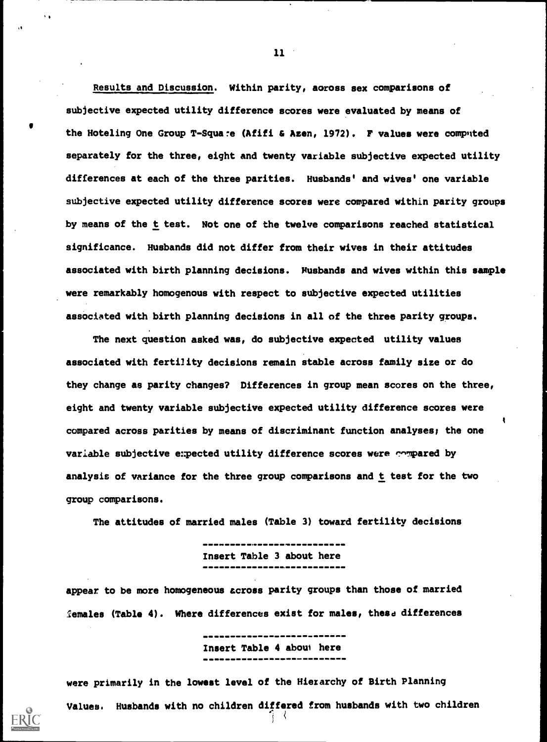Results and Discussion. Within parity, aoross sex comparisons of subjective expected utility difference scores were evaluated by means of the Hoteling One Group T-Squa:e (Afifi & Azen, 1972). F values were computed separately for the three, eight and twenty variable subjective expected utility differences at each of the three parities. Husbands' and wives' one variable subjective expected utility difference scores were compared within parity groups by means of the t test. Not one of the twelve comparisons reached statistical significance. Husbands did not differ from their wives in their attitudes associated with birth planning decisions. Husbands and wives within this sample were remarkably homogenous with respect to subjective expected utilities associated with birth planning decisions in all of the three parity groups.

The next question asked was, do subjective expected utility values associated with fertility decisions remain stable across family size or do they change as parity changes? Differences in group mean scores on the three, eight and twenty variable subjective expected utility difference scores were compared across parities by means of discriminant function analyses; the one variable subjective expected utility difference scores were compared by analysis of variance for the three group comparisons and t test for the two group comparisons.

4

The attitudes of married males (Table 3) toward fertility decisions

Insert Table 3 about here

appear to be more homogeneous across parity groups than those of married females (Table 4). Where differences exist for males, these differences

Insert Table 4 about here

were primarily in the lowest level of the Hierarchy of Birth Planning Values. Husbands with no children differed from husbands with two children

11

 $\ddot{\phantom{1}}$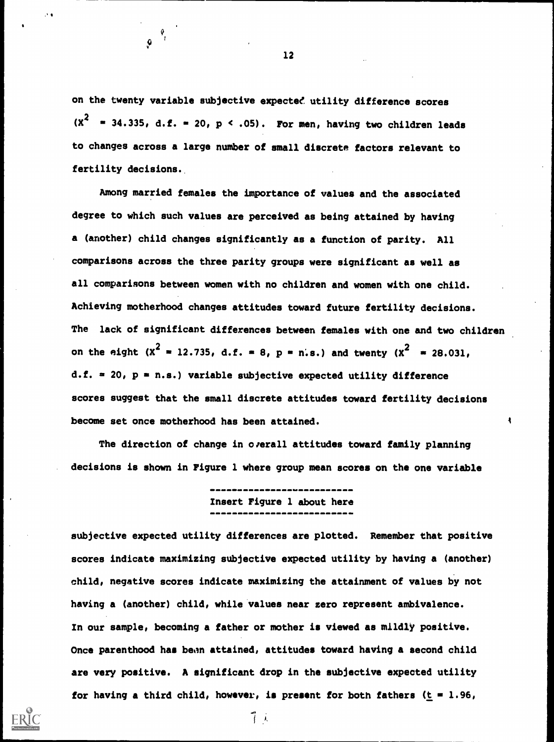on the twenty variable subjective expected utility difference scores  $(X^2 = 34.335, d.f. = 20, p < .05)$ . For men, having two children leads to changes across a large number of small discrete factors relevant to fertility decisions..

4

 $\boldsymbol{Q}$ 

Among married females the importance of values and the associated degree to which such values are perceived as being attained by having a (another) child changes significantly as a function of parity. All comparisons across the three parity groups were significant as well as all comparisons between women with no children and women with one child. Achieving motherhood changes attitudes toward future fertility decisions. The lack of significant differences between females with one and two children on the eight (X<sup>2</sup> = 12.735, d.f. = 8, p = n.s.) and twenty (X<sup>2</sup> = 28.031, d.f. = 20,  $p = n.s.$ ) variable subjective expected utility difference scores suggest that the small discrete attitudes toward fertility decisions become set once motherhood has been attained.

The direction of change in overall attitudes toward family planning decisions is shown in Figure 1 where group mean scores on the one variable ł

Insert Figure 1 about here

subjective expected utility differences are plotted. Remember that positive scores indicate maximizing subjective expected utility by having a (another) child, negative scores indicate maximizing the attainment of values by not having a (another) child, while values near zero represent ambivalence. In our sample, becoming a father or mother is viewed as mildly positive. Once parenthood has been attained, attitudes toward having a second child are very positive. A significant drop in the subjective expected utility for having a third child, however, is present for both fathers  $(t = 1.96, t)$ 

12

 $7.1$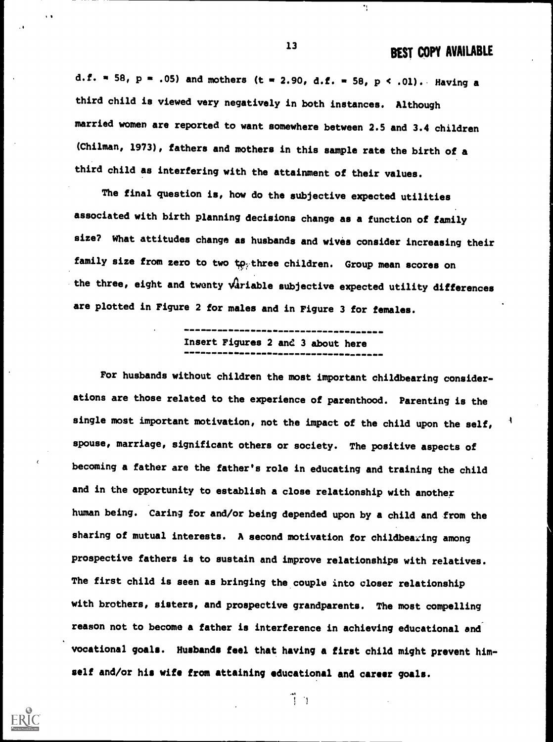d.f. = 58, p = .05) and mothers (t = 2.90, d.f. = 58, p < .01). Having a third child is viewed very negatively in both instances. Although married women are reported to want somewhere between 2.5 and 3.4 children (Chilman, 1973), fathers and mothers in this sample rate the birth of a third child as interfering with the attainment of their values.

The final question is, how do the subjective expected utilities associated with birth planning decisions change as a function of family size? What attitudes change as husbands and wives consider increasing their family size from zero to two to three children. Group mean scores on the three, eight and twenty variable subjective expected utility differences are plotted in Figure 2 for males and in Figure 3 for females.

# Insert Figures 2 and 3 about here

For husbands without children the most important childbearing considerations are those related to the experience of parenthood. Parenting is the single most important motivation, not the impact of the child upon the self, spouse, marriage, significant others or society. The positive aspects of becoming a father are the father's role in educating and training the child and in the opportunity to establish a close relationship with another human being. Caring for and/or being depended upon by a child and from the sharing of mutual interests. A second motivation for childbearing among prospective fathers is to sustain and improve relationships with relatives. The first child is seen as bringing the couple into closer relationship with brothers, sisters, and prospective grandparents. The most compelling reason not to become a father is interference in achieving educational and vocational goals. Husbands feel that having a first child might prevent himself and/or his wife from attaining educational and career goals.

 $\mathbb{I}$ .

13

 $\mathbf{I}_1$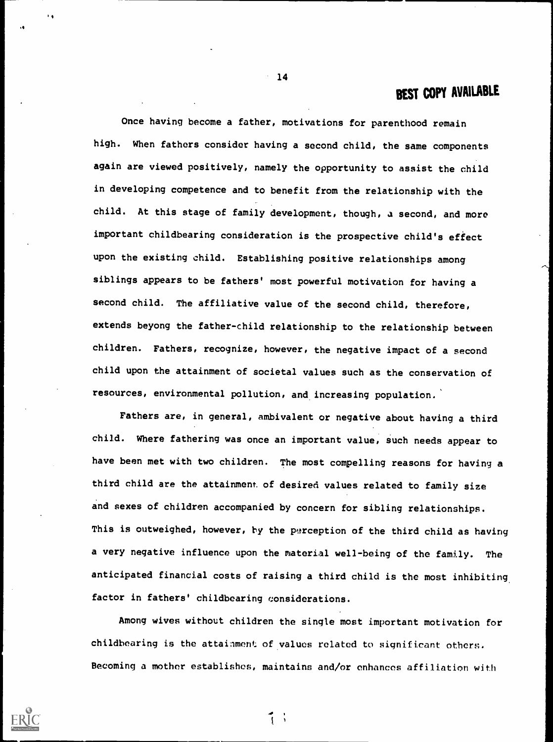Once having become a father, motivations for parenthood remain high. When fathers consider having a second child, the same components again are viewed positively, namely the opportunity to assist the child in developing competence and to benefit from the relationship with the child. At this stage of family development, though, a second, and more important childbearing consideration is the prospective child's effect upon the existing child. Establishing positive relationships among siblings appears to be fathers' most powerful motivation for having a second child. The affiliative value of the second child, therefore, extends beyong the father-child relationship to the relationship between children. Fathers, recognize, however, the negative impact of a second child upon the attainment of societal values such as the conservation of resources, environmental pollution, and increasing population.'

Fathers are, in general, ambivalent or negative about having a third child. Where fathering was once an important value, such needs appear to have been met with two children. The most compelling reasons for having a third child are the attainment of desired values related to family size and sexes of children accompanied by concern for sibling relationships. This is outweighed, however, by the perception of the third child as having a very negative influence upon the material well-being of the family. The anticipated financial costs of raising a third child is the most inhibiting factor in fathers' childbearing considerations.

Among wives without children the single most important motivation for childbearing is the attainment of values related to significant others. Becoming a mother establishes, maintains and/or enhances affiliation with

1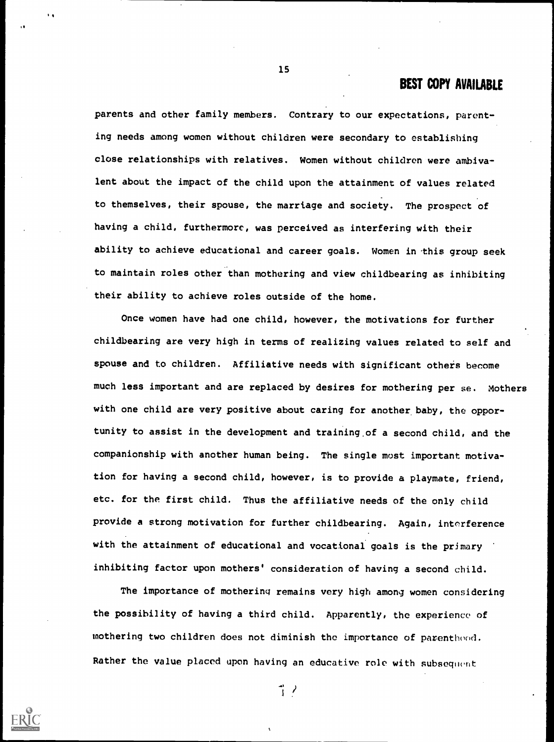parents and other family members. Contrary to our expectations, parenting needs among women without children were secondary to establishing close relationships with relatives. Women without children were ambivalent about the impact of the child upon the attainment of values related to themselves, their spouse, the marriage and society. The prospect of having a child, furthermore, was perceived as interfering with their ability to achieve educational and career goals. Women in this group seek to maintain roles other than mothering and view childbearing as inhibiting their ability to achieve roles outside of the home.

15

Once women have had one child, however, the motivations for further childbearing are very high in terms of realizing values related to self and spouse and to children. Affiliative needs with significant others become much less important and are replaced by desires for mothering per se. Mothers with one child are very positive about caring for another baby, the opportunity to assist in the development and training.of a second child, and the companionship with another human being. The single most important motivation for having a second child, however, is to provide a playmate, friend, etc. for the first child. Thus the affiliative needs of the only child provide a strong motivation for further childbearing. Again, interference with the attainment of educational and vocational goals is the primary inhibiting factor upon mothers' consideration of having a second child.

The importance of mothering remains very high among women considering the possibility of having a third child. Apparently, the experience of mothering two children does not diminish the importance of parenthood. Rather the value placed upon having an educative role with subsequent

1 ?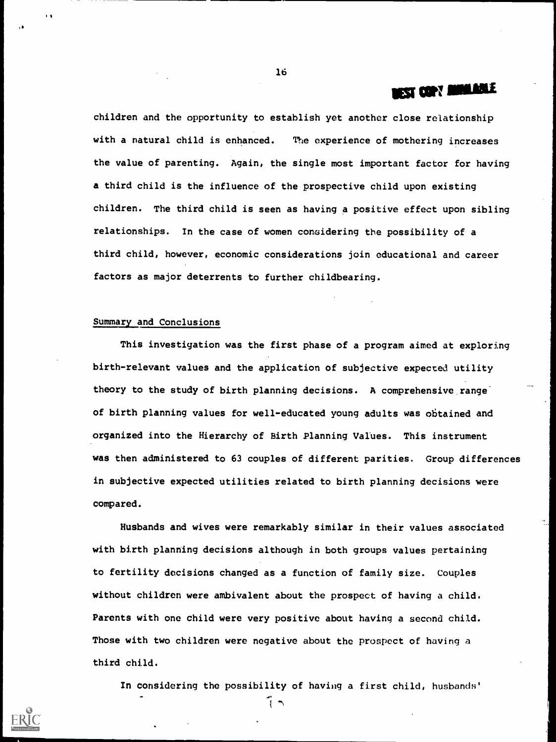## **EST COPY MINIABLE**

children and the opportunity to establish yet another close relationship with a natural child is enhanced. The experience of mothering increases the value of parenting. Again, the single most important factor for having a third child is the influence of the prospective child upon existing children. The third child is seen as having a positive effect upon sibling relationships. In the case of women considering the possibility of a third child, however, economic considerations join educational and career factors as major deterrents to further childbearing.

### Summary and Conclusions

This investigation was the first phase of a program aimed at exploring birth-relevant values and the application of subjective expected utility theory to the study of birth planning decisions. A comprehensive range' of birth planning values for well-educated young adults was obtained and organized into the Hierarchy of Birth Planning Values. This instrument was then administered to 63 couples of different parities. Group differences in subjective expected utilities related to birth planning decisions were compared.

Husbands and wives were remarkably similar in their values associated with birth planning decisions although in both groups values pertaining to fertility decisions changed as a function of family size. Couples without children were ambivalent about the prospect of having a child. Parents with one child were very positive about having a second child. Those with two children were negative about the prospect of having a third child.

In considering the possibility of having a first child, husbands'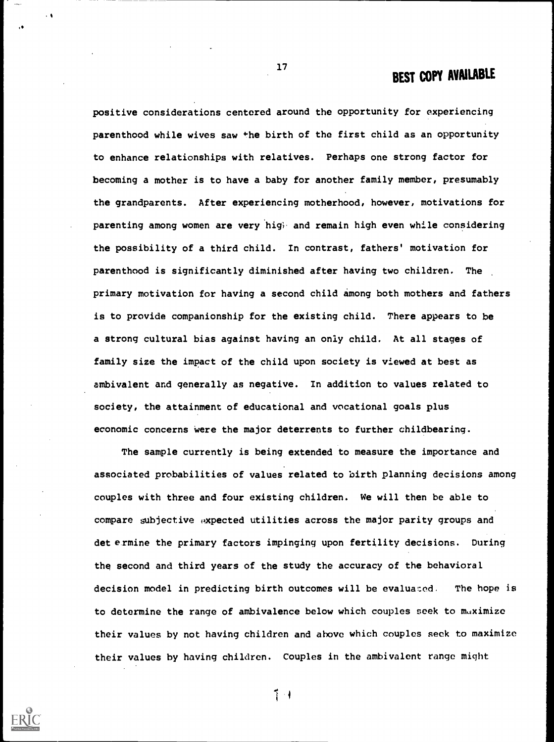positive considerations centered around the opportunity for experiencing parenthood while wives saw the birth of the first child as an opportunity to enhance relationships with relatives. Perhaps one strong factor for becoming a mother is to have a baby for another family member, presumably the grandparents. After experiencing motherhood, however, motivations for parenting among women are very bigi. and remain high even while considering the possibility of a third child. In contrast, fathers' motivation for parenthood is significantly diminished after having two children. The primary motivation for having a second child among both mothers and fathers is to provide companionship for the existing child. There appears to be a strong cultural bias against having an only child. At all stages of family size the impact of the child upon society is viewed at best as ambivalent and generally as negative. In addition to values related to society, the attainment of educational and vocational goals plus economic concerns were the major deterrents to further childbearing.

17

 $\cdot$ 

The sample currently is being extended to measure the importance and associated probabilities of values related to birth planning decisions among couples with three and four existing children. We will then be able to compare subjective  $\omega$ xpected utilities across the major parity groups and det ermine the primary factors impinging upon fertility decisions. During the second and third years of the study the accuracy of the behavioral decision model in predicting birth outcomes will be evaluated. The hope is to determine the range of ambivalence below which couples seek to maximize their values by not having children and ahove which couples seek to maximize their values by having children. Couples in the ambivalent range might

 $1 - 1$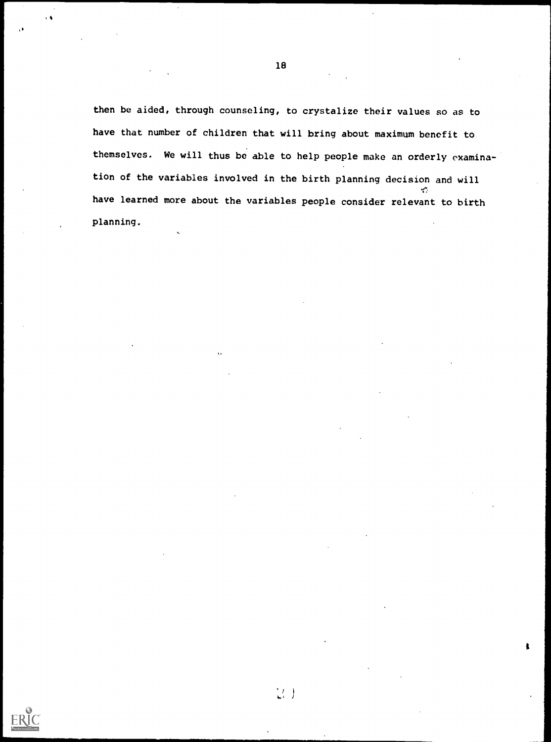then be aided, through counseling, to crystalize their values so as to have that number of children that will bring about maximum benefit to themselves. We will thus be able to help people make an orderly examination of the variables involved in the birth planning decision and will  $\mathcal{L}_{\mathcal{F}}$ have learned more about the variables people consider relevant to birth planning.

 $\binom{1}{2}$  )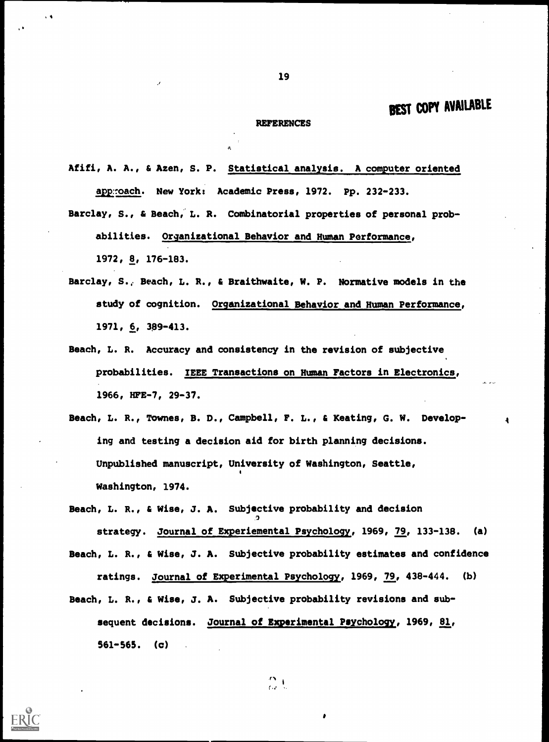#### REFERENCES

Afifi, A. A., & Azen, S. P. Statistical analysis. A computer oriented approach. New York: Academic Press, 1972. Pp. 232-233.

Barclay, S., & Beach,' L. R. Combinatorial properties of personal probabilities. Organizational Behavior and Human Performance, 1972, 8, 176-183.

- Barclay, S.; Beach, L. R., & Braithwaite, W. P. Normative models in the study of cognition. Organizational Behavior and Human Performance, 1971, 6, 389 -413.
- Beach, L. R. Accuracy and consistency in the revision of subjective probabilities. IEEE Transactions on Human Factors in Electronics, 1966, HFE-7, 29-37.
- Beach, L. R., Townes, B. D., Campbell, F. L., & Keating, G. W. Developing and testing a decision aid for birth planning decisions. Unpublished manuscript, University of Washington, Seattle, Washington, 1974.

Beach, L. R., & Wise, J. A. Subjective probability and decision strategy. Journal of Experiemental Psychology, 1969, 79, 133-138. (a) Beach, L. R., & Wise, J. A. Subjective probability estimates and confidence ratings. Journal of Experimental Psychology, 1969, 79, 438-444. (b) Beach, L. R., & Wise, J. A. Subjective probability revisions and subsequent decisions. Journal of Experimental Psychology, 1969, 81, 561-565. (c)

 $\frac{m}{\omega}$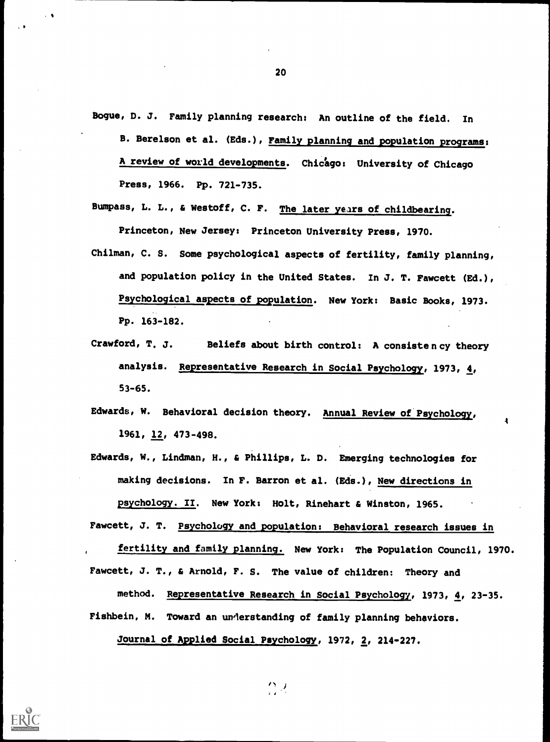Bogue, D. J. Family planning research: An outline of the field. In

- B. Berelson et al. (Eds.), Family planning and population programs: A review of world developments. Chicago: University of Chicago Press, 1966. Pp. 721-735.
- Bumpass, L. L., & Westoff, C. F. The later years of childbearing. Princeton, New Jersey: Princeton University Press, 1970.
- Chilman, C. S. Some psychological aspects of fertility, family planning, and population policy in the United States. In J. T. Fawcett (Ed.), Psychological aspects of population. New York: Basic Books, 1973. Pp. 163-182.
- Crawford, T, J. Beliefs about birth control: A consistency theory analysis. Representative Research in Social Psychology, 1973, 4, 53-65.
- Edwards, W. Behavioral decision theory. Annual Review of Psychology, 1961, 12, 473-498.
- Edwards, W., Lindman, H., & Phillips, L. D. Emerging technologies for making decisions. In F. Barron et al. (Eds.), New directions in psychology. II. New York: Holt, Rinehart & Winston, 1965.
- Fawcett, J. T. Psychology and population: Behavioral research issues in

fertility and family planning. New York: The Population Council, 1970. Fawcett, J. T., & Arnold, F. S. The value of children: Theory and

- method. Representative Research in Social Psychology, 1973, 4, 23-35.
- Fishbein, M. Toward an understanding of family planning behaviors.

 $\mathbb{C}^{\mathcal{A}}$ 

Journal of Applied Social Psychology, 1972, 2, 214-227.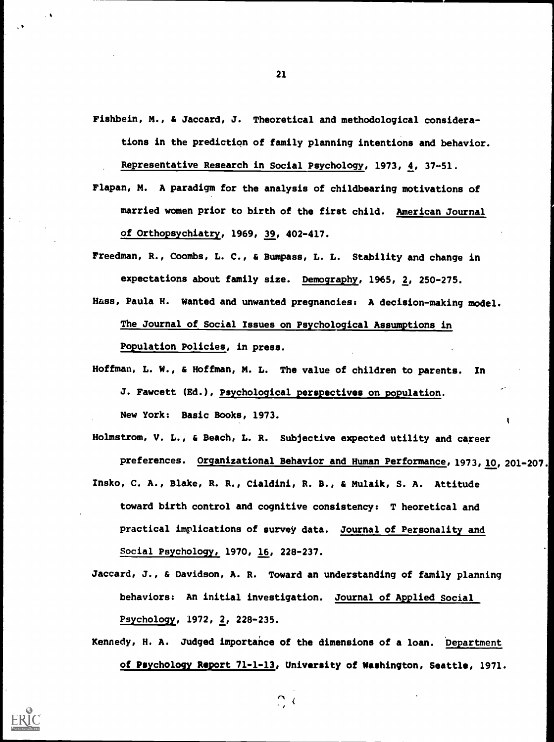- Fishbein, M., & Jaccard, J. Theoretical and methodological considerations in the prediction of family planning intentions and behavior. Representative Research in Social Psychology, 1973, 4, 37-51.
- Flapan, M. A paradigm for the analysis of childbearing motivations of married women prior to birth of the first child. American Journal of Orthopsychiatry, 1969, 39, 402-417.
- Freedman, R., Coombs, L. C., & Bumpass, L. L. Stability and change in expectations about family size. Demography, 1965, 2, 250-275.
- Hass, Paula H. Wanted and unwanted pregnancies: A decision-making model. The Journal of Social Issues on Psychological Assumptions in Population Policies, in press.
- Hoffman, L. W., & Hoffman, M. L. The value of children to parents. In J. Fawcett (Ed.), Psychological perspectives on population. New York: Basic Books, 1973.
- Holmstrom, V. L., & Beach, L. R. Subjective expected utility and career preferences. Organizational Behavior and Human Performance, 1973, 10, 201-207. Insko, C. A., Blake, R. R., Cialdini, R. B., & Mulaik, S. A. Attitude
- toward birth control and cognitive consistency: T heoretical and practical implications of survey data. Journal of Personality and Social Psychology, 1970, 16, 228-237.
- Jaccard, J., & Davidson, A. R. Toward an understanding of family planning behaviors: An initial investigation. Journal of Applied Social Psychology, 1972, 2, 228-235.
- Kennedy, H. A. Judged importance of the dimensions of a loan. Department of Psychology Report 71-1-13, University of Washington, Seattle, 1971.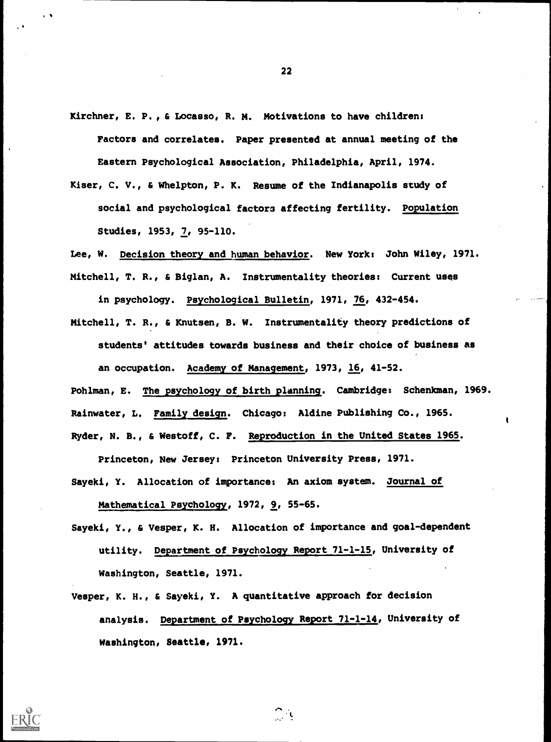- Kirchner, E. P., & Locasso, R. M. Motivations to have children: Factors and correlates. Paper presented at annual meeting of the Eastern Psychological Association, Philadelphia, April, 1974.
- Kiser, C. V., & Whelpton, P. K. Resume of the Indianapolis study of social and psychological factors affecting fertility. Population Studies, 1953, 7, 95-110.

Lee, W. Decision theory and human behavior. New York: John Wiley, 1971. Mitchell, T. R., & Biglan, A. Instrumentality theories: Current uses

in psychology. Psychological Bulletin, 1971, 76, 432-454.

Mitchell, T. R., & Knutsen, B. W. Instrumentality theory predictions of students' attitudes towards business and their choice of business as an occupation. Academy of Management, 1973, 16, 41-52.

Pohlman, E. The psychology of birth planning. Cambridge: Schenkman, 1969. Rainwater, L. Family design. Chicago: Aldine Publishing Co., 1965. Ryder, N. B., & Westoff, C. F. Reproduction in the United States 1965.

 $\bullet$ 

Princeton, New Jersey: Princeton University Press, 1971. Sayeki, Y. Allocation of importance: An axiom system. Journal of

Mathematical Psychology, 1972, 9, 55-65.

- Sayeki, Y., & Vesper, K. H. Allocation of importance and goal-dependent utility. Department of Psychology Report 71-1-15, University of Washington, Seattle, 1971.
- Vesper, K. H., & Sayeki, Y. A quantitative approach for decision analysis. Department of Psychology Report 71-1-14, University of Washington, Seattle, 1971.

 $\frac{1}{2}$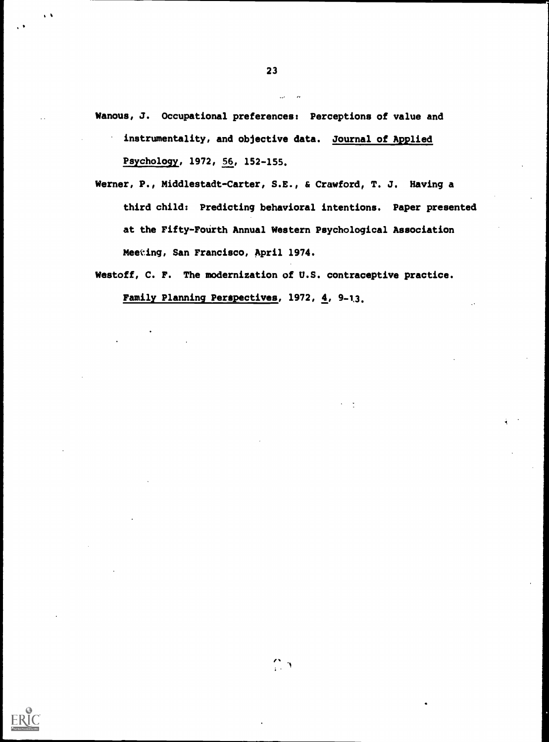- Wanous, J. Occupational preferences: Perceptions of value and instrumentality, and objective data. Journal of Applied Psychology, 1972, 56, 152-155.
- Werner, P., Middlestadt-Carter, S.E., & Crawford, T. J. Having a third child: Predicting behavioral intentions. Paper presented at the Fifty-Fourth Annual Western Psychological Association Meeting, San Francisco, April 1974.

Westoff, C. F. The modernization of U.S. contraceptive practice.

 $\sum_{i=1}^{n}$ 

Family Planning Perspectives, 1972, 4, 9-13.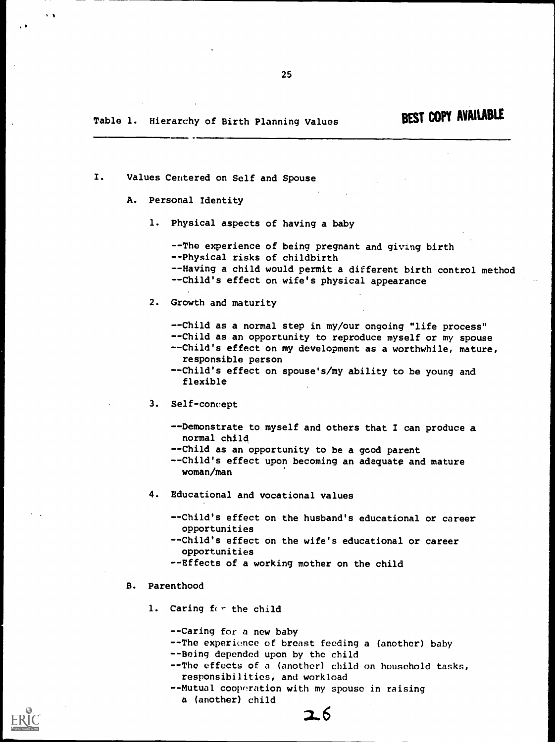## Table 1. Hierarchy of Birth Planning Values BEST COPY AVAILABLE

I. Values Centered on Self and Spouse

#### A. Personal Identity

1. Physical aspects of having a baby

25

--The experience of being pregnant and giving birth --Physical risks of childbirth --Having a child would permit a different birth control method --Child's effect on wife's physical appearance

2. Growth and maturity

--Child as a normal step in my/our ongoing "life process" --Child as an opportunity to reproduce myself or my spouse --Child's effect on my development as a worthwhile, mature, responsible person

--Child's effect on spouse's/my ability to be young and flexible

- 3. Self-concept
	- --Demonstrate to myself and others that I can produce a normal child
	- --Child as an opportunity to be a good parent
	- --Child's effect upon becoming an adequate and mature woman/man
- 4. Educational and vocational values
	- -Child's effect on the husband's educational or career opportunities
	- -Child's effect on the wife's educational or career opportunities
	- --Effects of a working mother on the child

#### B. Parenthood

- 1. Caring for the child
	- --Caring for a new baby
	- --The experience of breast feeding a (another) baby
	- --Being depended upon by the child
	- --The effects of a (another) child on household tasks, responsibilities, and workload
	- --Mutual cooperation with my spouse in raising a (another) child

. 6



 $\ddot{\phantom{1}}$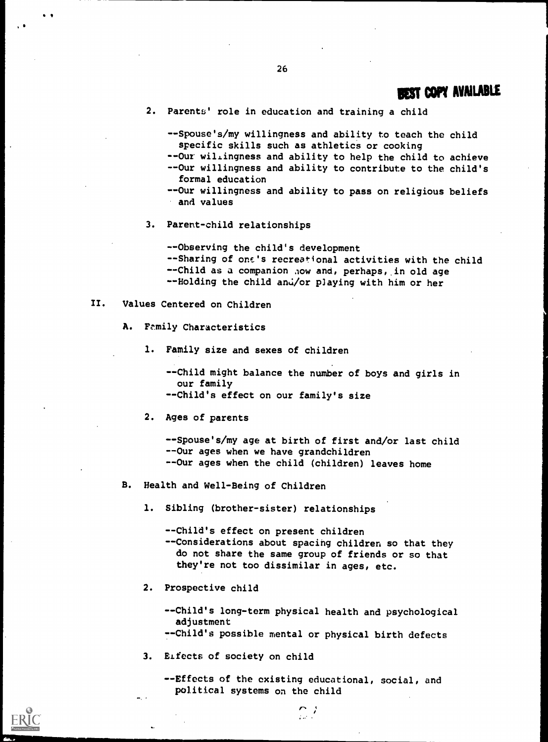1

- 2. Parents' role in education and training a child
	- --Spouse's/my willingness and ability to teach the child specific skills such as athletics or cooking --Our willingness and ability to help the child to achieve --Our willingness and ability to contribute to the child's formal education
	- --Our willingness and ability to pass on religious beliefs and values
- 3. Parent-child relationships

--Observing the child's development --Sharing of one's recreational activities with the child --Child as a companion now and, perhaps, in old age --Holding the child and/or playing with him or her

- II. Values Centered on Children
	- A. Family Characteristics
		- 1. Family size and sexes of children
			- --Child might balance the number of boys and girls in our family --Child's effect on our family's size
		- 2. Ages of parents

--Spouse's/my age at birth of first and/or last child --Our ages when we have grandchildren --Our ages when the child (children) leaves home

- B. Health and Well-Being of Children
	- 1. Sibling (brother-sister) relationships

--Child's effect on present children --Considerations about spacing children so that they do not share the same group of friends or so that they're not too dissimilar in ages, etc.

2. Prospective child

--Child's long-term physical health and psychological adjustment

- --Child's possible mental or physical birth defects
- 3. ELfects of society on child

--Effects of the existing educational, social, and political systems on the child

 $\sum_{i=1}^{n}$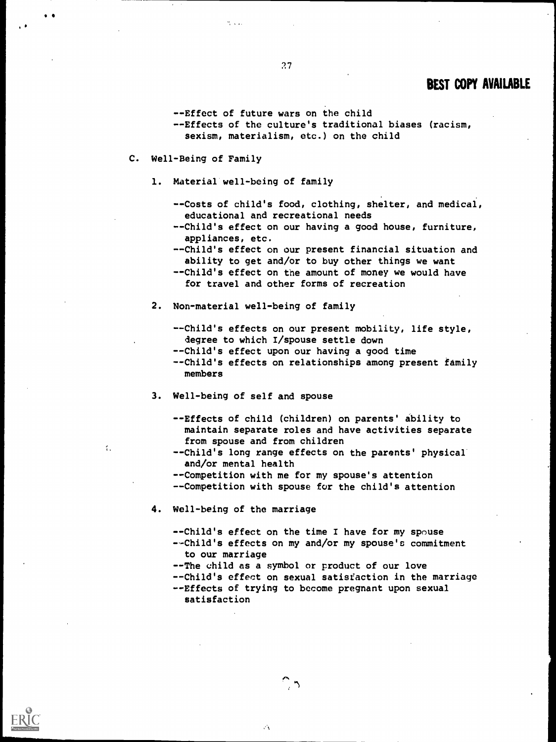- 27
- --Effect of future wars on the child
- --Effects of the culture's traditional biases (racism, sexism, materialism, etc.) on the child
- C. Well-Being of Family
	- 1. Material well-being of family

 $\mathcal{H}^{\pm}$  ,  $\mathcal{H}^{\pm}$ 

- --Costs of child's food, clothing, shelter, and medical, educational and recreational needs
- --Child's effect on our having a good house, furniture, appliances, etc.
- --Child's effect on our present financial situation and ability to get and/or to buy other things we want - -Child's effect on the amount of money we would have
- for travel and other forms of recreation
- 2. Non-material well-being of family
	- --Child's effects on our present mobility, life style, degree to which I/spouse settle down
	- --Child's effect upon our having a good time
	- --Child's effects on relationships among present family members
- 3. Well-being of self and spouse
	- --Effects of child (children) on parents' ability to maintain separate roles and have activities separate from spouse and from children
	- --Child's long range effects on the parents' physical and/or mental health
	- --Competition with me for my spouse's attention - -Competition with spouse for the child's attention
- 4. Well-being of the marriage

 $\mathcal{L}$ 

- --Child's effect on the time I have for my spouse
- --Child's effects on my and/or my spouse's commitment to our marriage
- --The child as a symbol or product of our love --Child's effect on sexual satisfaction in the marriage --Effects of trying to become pregnant upon sexual satisfaction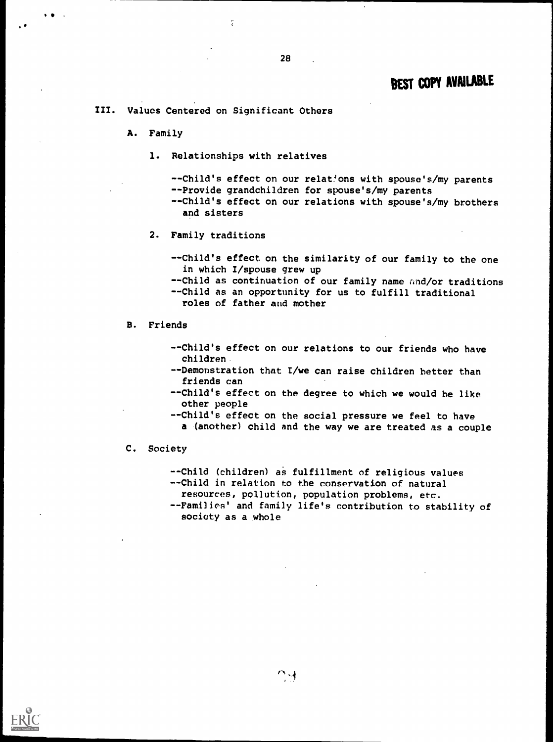III. Values Centered on Significant Others

Å

A. Family

 $\bullet$  -  $\bullet$  -  $\bullet$  -  $\bullet$  -  $\bullet$ 

1. Relationships with relatives

--Child's effect on our relations with spouse's/my parents --Provide grandchildren for spouse's/my parents --Child's effect on our relations with spouse's/my brothers and sisters

2. Family traditions

--Child's effect on the similarity of our family to the one in which I/spouse grew up

--Child as continuation of our family name and/or traditions

--Child as an opportunity for us to fulfill traditional

roles of father and mother

B. Friends

- --Child's effect on our relations to our friends who have children.
- --Demonstration that I/we can raise children better than friends can
- --Child's effect on the degree to which we would be like other people
- -Child's effect on the social pressure we feel to have
	- a (another) child and the way we are treated as a couple

C. Society

--Child (children) as fulfillment of religious values --Child in relation to the conservation of natural

resources, pollution, population problems, etc.

--Families' and family life's contribution to stability of society as a whole

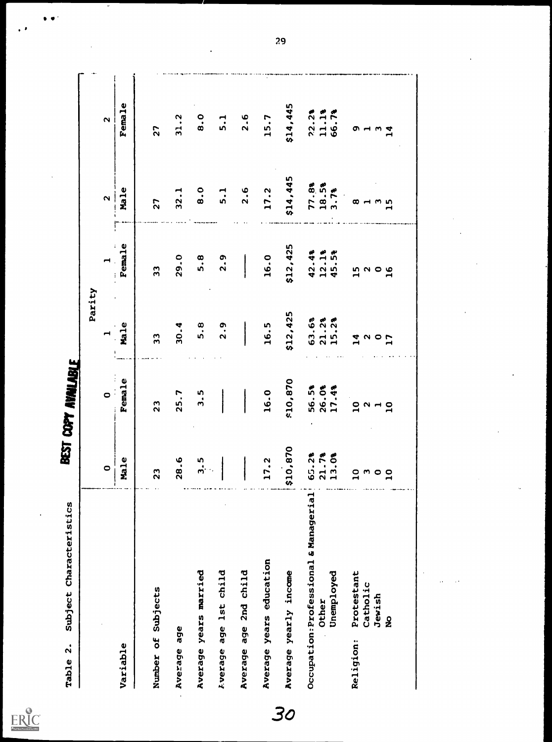$ERIC$ 

|                                                              | $\bullet$                          | $\bullet^{\pm}$         | Parity                      |                             | $\boldsymbol{\mathsf{a}}$ | $\boldsymbol{\mathsf{c}}$ |
|--------------------------------------------------------------|------------------------------------|-------------------------|-----------------------------|-----------------------------|---------------------------|---------------------------|
| Variable                                                     | Male                               | <b>Female</b>           | Male                        | Female                      | Male                      | Female                    |
| Number of Subjects                                           | 23                                 | 23                      | 33                          | 33                          | 27                        | 27                        |
| Average age                                                  | 28.6                               | 25.7                    | 30.4                        | 29.0                        | 32.1                      | 31.2                      |
| Average years married                                        | 3.5                                | ე<br>ი                  | 5.8                         | 5.8                         | $\bf{8.0}$                | $\ddot{B}$ .0             |
| age 1st child<br><b>Lverage</b>                              |                                    |                         | 2.9                         | 2.9                         | 5.1                       | 5.1                       |
| age 2nd child<br>Average                                     |                                    |                         |                             |                             | 2.6                       | 2.6                       |
| Average years education                                      | 17.2                               | 16.0                    | 16.5                        | 16.0                        | 17.2                      | 15.7                      |
| Average yearly income                                        | \$10,870                           | \$10,870                | \$12,425                    | \$12,425                    | \$14,445                  | \$14,445                  |
| Occupation: Professional & Managerial<br>Unemployed<br>Other | 65.2%<br>21.7%<br>13.0%            | 56.5%<br>26.0%<br>17.4% | 63.6%<br>$21.28$<br>$15.28$ | $42 - 49$<br>12.1%<br>45.5% | $77.88$<br>18.5%          | 72.2%<br>11.1%<br>66.7%   |
| Protestant<br>Catholic<br>Religion:                          | $\overline{10}$<br>m               | $\overline{\mathbf{u}}$ | 14                          | 15                          | œ                         | თ                         |
| Jewish<br>$\frac{9}{2}$                                      | $\circ$<br>$\overline{\mathbf{u}}$ | $2 - 5$                 | $\frac{2}{10}$              | 20<br>21<br>21              | 15                        | $\mathbf{1}$              |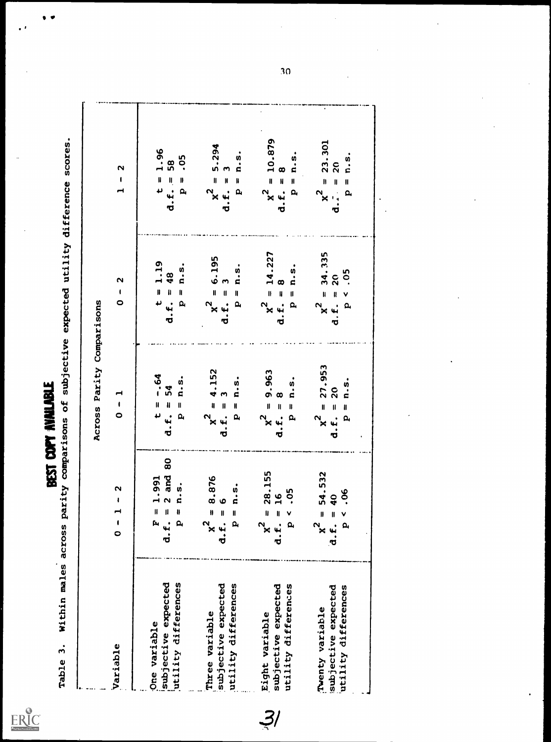$\sum_{\lambda_{\text{fullTest Perioded by EBC}}}$ 

 $\bullet$  $\bullet$ 

 $\bullet$ 

BEST COPY AVAILABLE<br>Table 3. Within males across parity comparisons of subjective expected utility difference scores.

| Variable                                   | $\mathbf{\Omega}$<br>$\mathbf{I}$<br>$\blacksquare$<br>$\frac{1}{\mathbf{0}}$ | $\overline{\phantom{0}}$<br>$\pmb{\mathfrak{t}}$<br>$\bullet$                 | $\mathbf{\Omega}$<br>$\pmb{\mathsf{I}}$<br>$\circ$                        | $\mathbf{\Omega}$<br>$\mathbf{I}$<br>$\blacksquare$                         |
|--------------------------------------------|-------------------------------------------------------------------------------|-------------------------------------------------------------------------------|---------------------------------------------------------------------------|-----------------------------------------------------------------------------|
| subjective expected<br>One variable        | $= 1.991$<br>$\mathbf{\hat{N}}$<br>$\mathbf{u}$<br>d.f.<br>ſ4                 | $-0.64$<br>$\pmb{\text{II}}$                                                  | 1.19<br>$\mathbf{I}$                                                      | $\frac{1.96}{58}$<br>$t =$<br>d.f.                                          |
| utility differences                        | 80<br>and<br>$n \cdot s$ .<br>$\mathbf{I}$<br>$\mathbf{a}$                    | $\ddot{a}$ .<br>$=$ 54<br>$\mathbf{I}$<br>$\mathbf{a}_i$<br>Ό                 | <u>ດໍ</u><br>ຕ<br>$= 48$<br>$\mathbf{I}$<br>d.f.<br>$\mathbf{a}$          | .05<br>$\parallel$<br>$\mathbf{a}$                                          |
| Three variable                             | 8.876<br>$\mathbf{0}$<br>$x^2$                                                | 4.152<br>$\mathbf{I}$<br>$x^2$                                                | 6.195<br>$\mathbf{I}$                                                     | 5.294<br>$\mathbf{I}$<br>x <sup>2</sup>                                     |
| subjective expected<br>utility differences | $P = n \cdot s$ .<br>$\bullet$<br>$\mathbf{I}$<br>d.f.                        | $\frac{5}{1}$<br>$\blacksquare$<br>$\mathbf{I}$<br>IJ<br>p,<br><b>بن</b><br>σ | $\frac{5}{1}$<br>Z<br>$\mathbf{I}$<br>$\mathbf I$<br>$\mathbf{a}$<br>d.f. | $\ddot{a}$ .<br>$\bullet$<br>$\blacksquare$<br>IJ<br>d.f.<br>$\mathbf{Q}_i$ |
| Eight variable                             | 28.155<br>$\mathbf{u}$<br>$x^2$                                               | 9.963<br>$\mathbf{I}$<br>$x^2$                                                | 14.227<br>$\mathbf{0}$<br>$x^2$                                           | $\mathbf{I}$<br>$x^2$                                                       |
| utility differences<br>subjective expected | $\frac{6}{1}$<br>$\blacksquare$<br>d.f.                                       | $\infty$<br>$\mathbf{I}$<br>τ                                                 | $\infty$<br>$\mathbf{I}$<br>d.t.                                          | 10.879<br>$\infty$<br>$\mathbf{H}$<br>d.f.                                  |
|                                            | <b>.05</b><br>$\frac{1}{2}$                                                   | $\frac{5}{1}$<br>ll<br>$\alpha$                                               | n.5<br>$\mathbf l$<br>$\overline{\mathbf{p}}$                             | $\frac{5}{1}$<br>$\mathbf{H}$<br>$\mathbf{Q}_i$                             |
| Twenty variable                            | 54.532<br>$\mathbf{I}$<br>$x^2$                                               | 27.953<br>$\mathbf{I}$<br>$x^2$                                               | 34.335<br>$\mathbf{u}$<br>$x^2$                                           | 23.301<br>$\mathbf{u}$<br>$x^2$                                             |
| subjective expected                        | $\overline{\mathbf{q}}$<br>$\blacksquare$<br>$\mathbf{d} \cdot \mathbf{f}$    | $\overline{c}$<br>$\mathbf{I}$<br>۳.<br>Ō                                     | $\overline{20}$<br>$\mathbf{R}$<br>י<br>ס                                 | $\overline{20}$<br>$\mathbf{I}$<br>o                                        |
| utility differences                        | .06<br>$\frac{8}{9}$                                                          | $\frac{5}{1}$<br>။<br>ဓ                                                       | .05<br>$\checkmark$<br>$\mathbf{a}$                                       | n. 5<br>$\mathbf{u}$                                                        |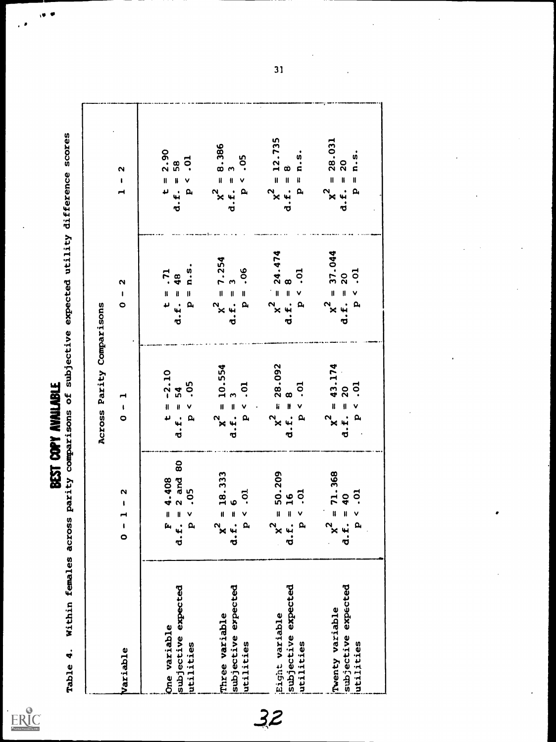$FRC$ 

 $\mathbf{v}$ 

SALE 4. Within females across parity comparisons of subjective expected utility difference scores

|                                                     |                                                                                           | Across Parity Comparisons                                                                            |                                                                                                 |                                                                                                                    |
|-----------------------------------------------------|-------------------------------------------------------------------------------------------|------------------------------------------------------------------------------------------------------|-------------------------------------------------------------------------------------------------|--------------------------------------------------------------------------------------------------------------------|
| Variable                                            | $\frac{2}{1}$<br>$\frac{1}{\sigma}$                                                       | $-1$                                                                                                 | $\mathbf{\Omega}$<br>$\pmb{\mathsf{I}}$<br>$\bullet$                                            | $\mathbf{\Omega}$<br>$\pmb{\ast}$                                                                                  |
| One variable                                        | $= 4.408$<br>$\mathbf{r}$                                                                 | $t = -2.10$                                                                                          |                                                                                                 | 2.90<br>$\mathbf{I}$<br>$\overline{\mathbf{u}}$                                                                    |
| subjective expected<br>utilities                    | d.f. = $2$ and 80<br>-05<br>$\frac{1}{2}$                                                 | -05<br>$.E. = 54$<br>$\checkmark$<br>$\mathbf{a}$<br>ಠ                                               | $\bullet$<br>$\frac{5}{1}$<br>t = .71<br>d.f. = 48<br>$\mathbf{I}$<br>$\mathbf{a}$              | <b>p</b><br>58<br>$d.f. =$<br>$\vee$<br>$\mathbf{a}$                                                               |
| subjective expected<br>Three variable<br>utilities  | $= 18.333$<br><b>p</b> .<br>$d.f. =$<br>$\overline{a}$<br>$\approx$                       | 10.554<br>.o.<br>$\checkmark$<br>$\mathbf{u}$<br>$x^2 =$<br>$\mathbf{a}$<br>ರ                        | $= 7.254$<br>.06<br>S<br>$\frac{1}{\pi}$<br>$\mathbf{I}$<br>d.f.<br>$\mathbf{a}$<br>$\approx$   | 8.386<br>.05<br>$d.f. = 3$<br>$\mathbf{I}$<br>$\checkmark$<br>$\mathbf{a}$<br>$\mathbf{r}$                         |
| subjective expected<br>Eight variable<br>utilities  | $= 50.209$<br><b>p</b> .<br>$\frac{6}{1}$<br>$d.f. =$<br>$\overline{\mathbf{a}}$<br>$x^2$ | 28.092<br>$\ddot{\circ}$<br>$\infty$<br>$x^2 = 1$<br>$\checkmark$<br>$\mathbf{a}$<br>J               | $= 24.474$<br>.01<br>$d.f. = 8$<br>$\checkmark$<br>$\mathbf{a}$<br>$x^2$                        | 12.735<br>n.5<br>œ<br>$\mathbf{H}$<br>$d.f. =$<br>$\pmb{\mathfrak{g}}$<br>x <sup>2</sup><br>$\mathbf{a}$           |
| subjective expected<br>Twenty variable<br>utilities | $= 71.368$<br>$\overline{c}$ .<br>$d.f. = 40$<br>V<br>$\overline{\mathbf{p}}$<br>$x^2$    | 43.174<br>.o.<br>20<br>$\mathbf{u}$<br>$\mathbf{u}$<br>$\checkmark$<br>$\mathbf{a}$<br>$x^2$<br>d.f. | $= 37.044$<br><b>p</b><br>$\overline{20}$<br>$\frac{1}{2}$<br>$\mathbf{I}$<br>d.f.<br>$\approx$ | 28.031<br>$\ddot{n}$ .<br>$\overline{20}$<br>$\mathbf{I}$<br>$\mathbf{I}$<br>$d.f. =$<br>$\mathbf{a}$<br>$\approx$ |
|                                                     |                                                                                           |                                                                                                      |                                                                                                 |                                                                                                                    |

32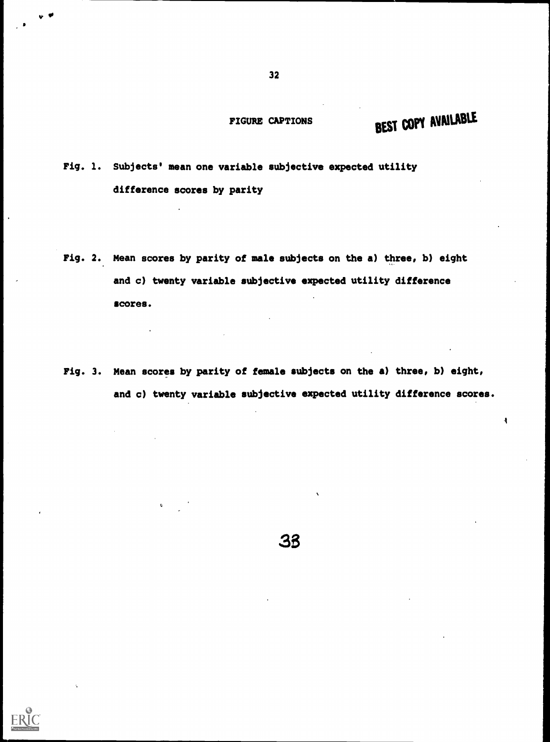FIGURE CAPTIONS

# BEST COPY AVAILABLE

 $\ddot{\mathbf{A}}$ 

Fig. 1. Subjects' mean one variable subjective expected utility difference scores by parity

- Fig. 2. Mean scores by parity of male subjects on the a) three, b) eight and c) twenty variable subjective expected utility difference scores.
- Fig. 3. Mean scores by parity of female subjects on the a) three, b) eight, and c) twenty variable subjective expected utility difference scores.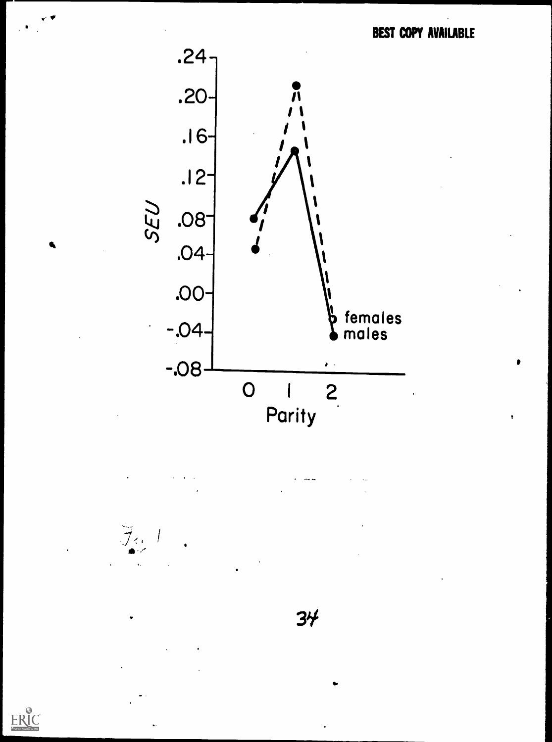$\bullet$ 



 $\mathcal{F}_{\alpha}$ 

 $ER_{\text{C}}^{\text{C}}$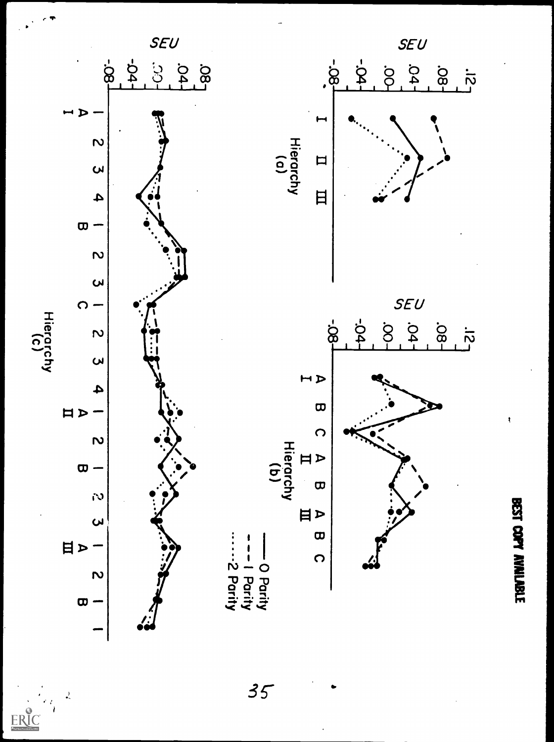

 $35$ 

 $\frac{1}{2}$ 

 $ERIC$